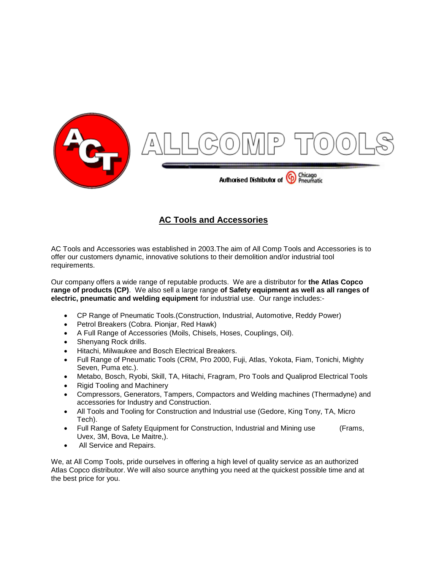

#### **AC Tools and Accessories**

AC Tools and Accessories was established in 2003.The aim of All Comp Tools and Accessories is to offer our customers dynamic, innovative solutions to their demolition and/or industrial tool requirements.

Our company offers a wide range of reputable products. We are a distributor for **the Atlas Copco range of products (CP)**. We also sell a large range **of Safety equipment as well as all ranges of electric, pneumatic and welding equipment** for industrial use. Our range includes:-

- CP Range of Pneumatic Tools.(Construction, Industrial, Automotive, Reddy Power)
- Petrol Breakers (Cobra. Pionjar, Red Hawk)
- A Full Range of Accessories (Moils, Chisels, Hoses, Couplings, Oil).
- Shenyang Rock drills.
- Hitachi, Milwaukee and Bosch Electrical Breakers.
- Full Range of Pneumatic Tools (CRM, Pro 2000, Fuji, Atlas, Yokota, Fiam, Tonichi, Mighty Seven, Puma etc.).
- Metabo, Bosch, Ryobi, Skill, TA, Hitachi, Fragram, Pro Tools and Qualiprod Electrical Tools
- Rigid Tooling and Machinery
- Compressors, Generators, Tampers, Compactors and Welding machines (Thermadyne) and accessories for Industry and Construction.
- All Tools and Tooling for Construction and Industrial use (Gedore, King Tony, TA, Micro Tech).
- Full Range of Safety Equipment for Construction, Industrial and Mining use (Frams, Uvex, 3M, Bova, Le Maitre,).
- All Service and Repairs.

We, at All Comp Tools, pride ourselves in offering a high level of quality service as an authorized Atlas Copco distributor. We will also source anything you need at the quickest possible time and at the best price for you.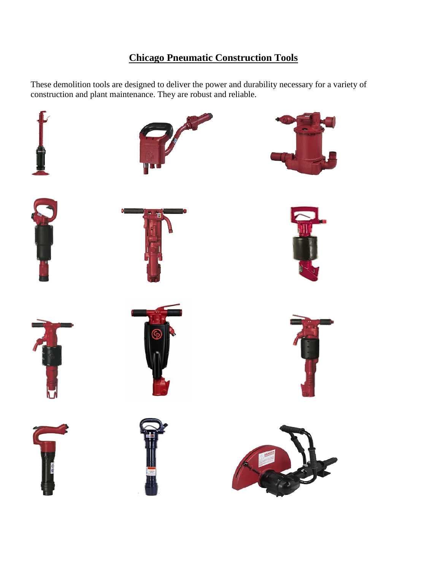## **Chicago Pneumatic Construction Tools**

These demolition tools are designed to deliver the power and durability necessary for a variety of construction and plant maintenance. They are robust and reliable.

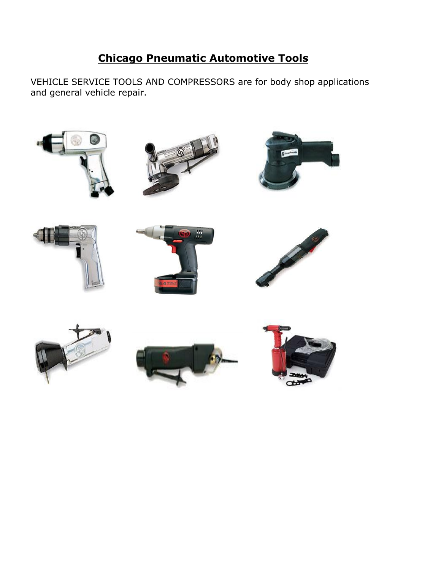# **Chicago Pneumatic Automotive Tools**

VEHICLE SERVICE TOOLS AND COMPRESSORS are for body shop applications and general vehicle repair.

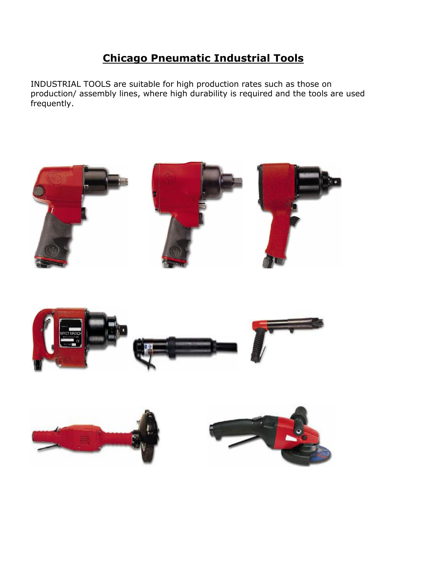# **Chicago Pneumatic Industrial Tools**

INDUSTRIAL TOOLS are suitable for high production rates such as those on production/ assembly lines, where high durability is required and the tools are used frequently.







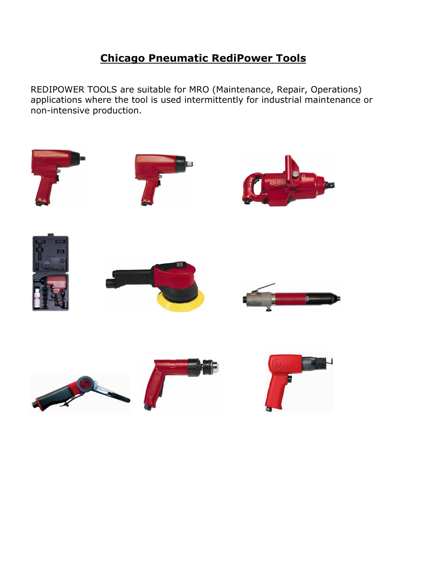### **Chicago Pneumatic RediPower Tools**

REDIPOWER TOOLS are suitable for MRO (Maintenance, Repair, Operations) applications where the tool is used intermittently for industrial maintenance or non-intensive production.

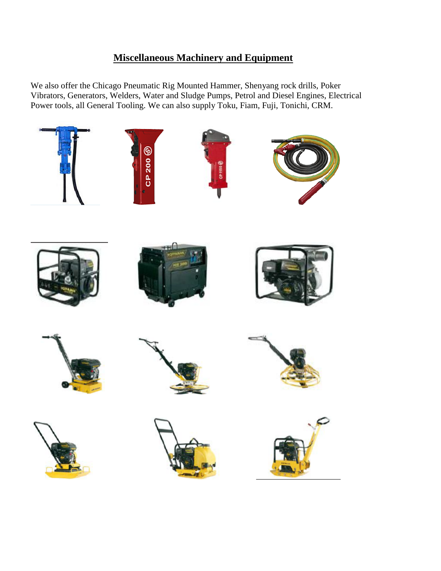#### **Miscellaneous Machinery and Equipment**

We also offer the Chicago Pneumatic Rig Mounted Hammer, Shenyang rock drills, Poker Vibrators, Generators, Welders, Water and Sludge Pumps, Petrol and Diesel Engines, Electrical Power tools, all General Tooling. We can also supply Toku, Fiam, Fuji, Tonichi, CRM.